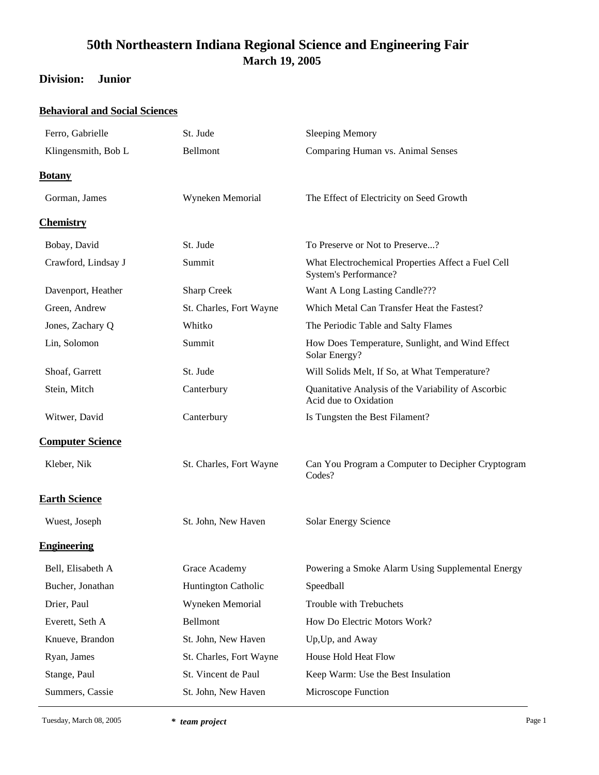### **Division: Junior**

### **Behavioral and Social Sciences**

| Ferro, Gabrielle        | St. Jude                   | <b>Sleeping Memory</b>                                                             |
|-------------------------|----------------------------|------------------------------------------------------------------------------------|
| Klingensmith, Bob L     | Bellmont                   | Comparing Human vs. Animal Senses                                                  |
| <b>Botany</b>           |                            |                                                                                    |
| Gorman, James           | Wyneken Memorial           | The Effect of Electricity on Seed Growth                                           |
| <b>Chemistry</b>        |                            |                                                                                    |
| Bobay, David            | St. Jude                   | To Preserve or Not to Preserve?                                                    |
| Crawford, Lindsay J     | Summit                     | What Electrochemical Properties Affect a Fuel Cell<br><b>System's Performance?</b> |
| Davenport, Heather      | <b>Sharp Creek</b>         | Want A Long Lasting Candle???                                                      |
| Green, Andrew           | St. Charles, Fort Wayne    | Which Metal Can Transfer Heat the Fastest?                                         |
| Jones, Zachary Q        | Whitko                     | The Periodic Table and Salty Flames                                                |
| Lin, Solomon            | Summit                     | How Does Temperature, Sunlight, and Wind Effect<br>Solar Energy?                   |
| Shoaf, Garrett          | St. Jude                   | Will Solids Melt, If So, at What Temperature?                                      |
| Stein, Mitch            | Canterbury                 | Quanitative Analysis of the Variability of Ascorbic<br>Acid due to Oxidation       |
| Witwer, David           | Canterbury                 | Is Tungsten the Best Filament?                                                     |
| <b>Computer Science</b> |                            |                                                                                    |
| Kleber, Nik             | St. Charles, Fort Wayne    | Can You Program a Computer to Decipher Cryptogram<br>Codes?                        |
| <b>Earth Science</b>    |                            |                                                                                    |
| Wuest, Joseph           | St. John, New Haven        | <b>Solar Energy Science</b>                                                        |
| <b>Engineering</b>      |                            |                                                                                    |
| Bell, Elisabeth A       | Grace Academy              | Powering a Smoke Alarm Using Supplemental Energy                                   |
| Bucher, Jonathan        | <b>Huntington Catholic</b> | Speedball                                                                          |
| Drier, Paul             | Wyneken Memorial           | Trouble with Trebuchets                                                            |
| Everett, Seth A         | Bellmont                   | How Do Electric Motors Work?                                                       |
| Knueve, Brandon         | St. John, New Haven        | Up, Up, and Away                                                                   |
| Ryan, James             | St. Charles, Fort Wayne    | House Hold Heat Flow                                                               |
| Stange, Paul            | St. Vincent de Paul        | Keep Warm: Use the Best Insulation                                                 |
| Summers, Cassie         | St. John, New Haven        | Microscope Function                                                                |
|                         |                            |                                                                                    |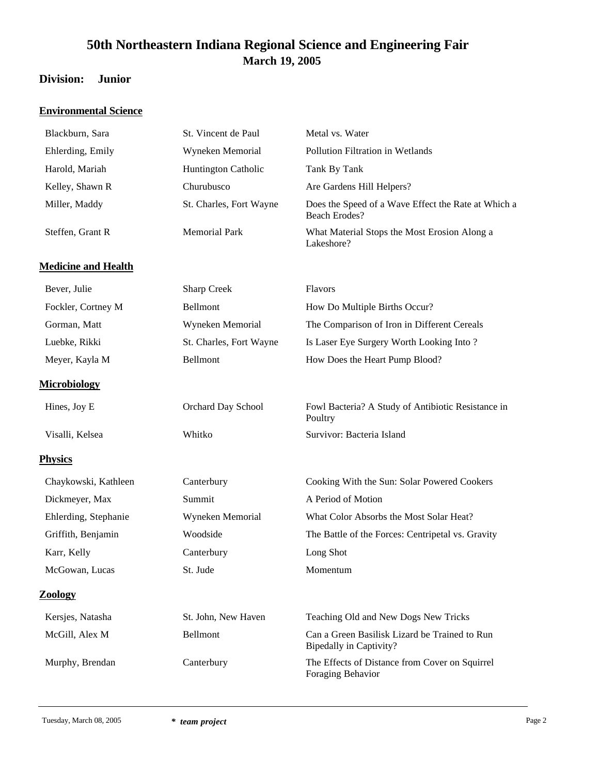### **Division: Junior**

### **Environmental Science**

| Blackburn, Sara            | St. Vincent de Paul        | Metal vs. Water                                                                 |
|----------------------------|----------------------------|---------------------------------------------------------------------------------|
| Ehlerding, Emily           | Wyneken Memorial           | Pollution Filtration in Wetlands                                                |
| Harold, Mariah             | <b>Huntington Catholic</b> | Tank By Tank                                                                    |
| Kelley, Shawn R            | Churubusco                 | Are Gardens Hill Helpers?                                                       |
| Miller, Maddy              | St. Charles, Fort Wayne    | Does the Speed of a Wave Effect the Rate at Which a<br><b>Beach Erodes?</b>     |
| Steffen, Grant R           | <b>Memorial Park</b>       | What Material Stops the Most Erosion Along a<br>Lakeshore?                      |
| <b>Medicine and Health</b> |                            |                                                                                 |
| Bever, Julie               | <b>Sharp Creek</b>         | Flavors                                                                         |
| Fockler, Cortney M         | Bellmont                   | How Do Multiple Births Occur?                                                   |
| Gorman, Matt               | Wyneken Memorial           | The Comparison of Iron in Different Cereals                                     |
| Luebke, Rikki              | St. Charles, Fort Wayne    | Is Laser Eye Surgery Worth Looking Into?                                        |
| Meyer, Kayla M             | Bellmont                   | How Does the Heart Pump Blood?                                                  |
| <b>Microbiology</b>        |                            |                                                                                 |
| Hines, Joy E               | Orchard Day School         | Fowl Bacteria? A Study of Antibiotic Resistance in<br>Poultry                   |
| Visalli, Kelsea            | Whitko                     | Survivor: Bacteria Island                                                       |
| <b>Physics</b>             |                            |                                                                                 |
| Chaykowski, Kathleen       | Canterbury                 | Cooking With the Sun: Solar Powered Cookers                                     |
| Dickmeyer, Max             | Summit                     | A Period of Motion                                                              |
| Ehlerding, Stephanie       | Wyneken Memorial           | What Color Absorbs the Most Solar Heat?                                         |
| Griffith, Benjamin         | Woodside                   | The Battle of the Forces: Centripetal vs. Gravity                               |
| Karr, Kelly                | Canterbury                 | Long Shot                                                                       |
| McGowan, Lucas             | St. Jude                   | Momentum                                                                        |
| <b>Zoology</b>             |                            |                                                                                 |
| Kersjes, Natasha           | St. John, New Haven        | Teaching Old and New Dogs New Tricks                                            |
| McGill, Alex M             | Bellmont                   | Can a Green Basilisk Lizard be Trained to Run<br><b>Bipedally in Captivity?</b> |
| Murphy, Brendan            | Canterbury                 | The Effects of Distance from Cover on Squirrel<br>Foraging Behavior             |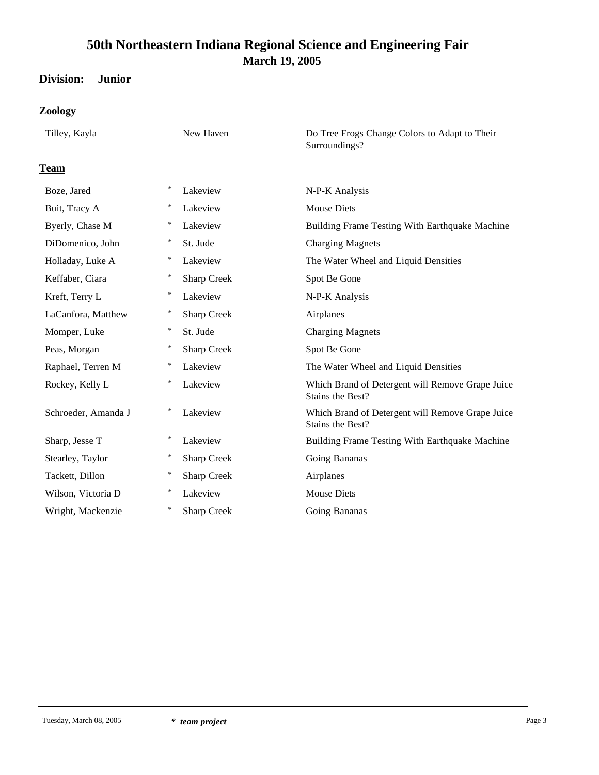## **Division: Junior**

### **Zoology**

| Tilley, Kayla       | New Haven                    | Do Tree Frogs Change Colors to Adapt to Their<br>Surroundings?       |
|---------------------|------------------------------|----------------------------------------------------------------------|
| <b>Team</b>         |                              |                                                                      |
| Boze, Jared         | $\ast$<br>Lakeview           | N-P-K Analysis                                                       |
| Buit, Tracy A       | $\ast$<br>Lakeview           | <b>Mouse Diets</b>                                                   |
| Byerly, Chase M     | ∗<br>Lakeview                | Building Frame Testing With Earthquake Machine                       |
| DiDomenico, John    | ∗<br>St. Jude                | <b>Charging Magnets</b>                                              |
| Holladay, Luke A    | ∗<br>Lakeview                | The Water Wheel and Liquid Densities                                 |
| Keffaber, Ciara     | $\ast$<br><b>Sharp Creek</b> | Spot Be Gone                                                         |
| Kreft, Terry L      | *<br>Lakeview                | N-P-K Analysis                                                       |
| LaCanfora, Matthew  | ∗<br><b>Sharp Creek</b>      | Airplanes                                                            |
| Momper, Luke        | $\ast$<br>St. Jude           | <b>Charging Magnets</b>                                              |
| Peas, Morgan        | $\ast$<br><b>Sharp Creek</b> | Spot Be Gone                                                         |
| Raphael, Terren M   | ∗<br>Lakeview                | The Water Wheel and Liquid Densities                                 |
| Rockey, Kelly L     | $\ast$<br>Lakeview           | Which Brand of Detergent will Remove Grape Juice<br>Stains the Best? |
| Schroeder, Amanda J | ∗<br>Lakeview                | Which Brand of Detergent will Remove Grape Juice<br>Stains the Best? |
| Sharp, Jesse T      | ∗<br>Lakeview                | Building Frame Testing With Earthquake Machine                       |
| Stearley, Taylor    | ∗<br><b>Sharp Creek</b>      | Going Bananas                                                        |
| Tackett, Dillon     | $\ast$<br><b>Sharp Creek</b> | Airplanes                                                            |
| Wilson, Victoria D  | ∗<br>Lakeview                | <b>Mouse Diets</b>                                                   |
| Wright, Mackenzie   | *<br><b>Sharp Creek</b>      | Going Bananas                                                        |